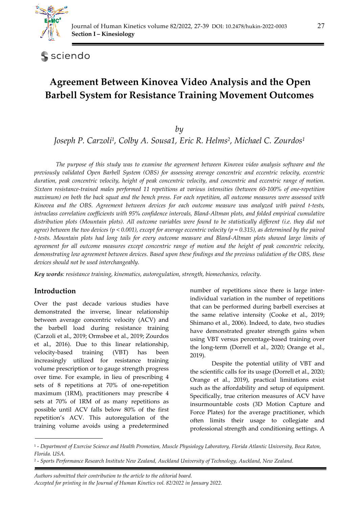

sciendo

# **Agreement Between Kinovea Video Analysis and the Open Barbell System for Resistance Training Movement Outcomes**

*by* 

*Joseph P. Carzoli1, Colby A. Sousa1, Eric R. Helms2, Michael C. Zourdos1*

*The purpose of this study was to examine the agreement between Kinovea video analysis software and the previously validated Open Barbell System (OBS) for assessing average concentric and eccentric velocity, eccentric duration, peak concentric velocity, height of peak concentric velocity, and concentric and eccentric range of motion. Sixteen resistance-trained males performed 11 repetitions at various intensities (between 60-100% of one-repetition maximum) on both the back squat and the bench press. For each repetition, all outcome measures were assessed with Kinovea and the OBS. Agreement between devices for each outcome measure was analyzed with paired t-tests, intraclass correlation coefficients with 95% confidence intervals, Bland-Altman plots, and folded empirical cumulative distribution plots (Mountain plots). All outcome variables were found to be statistically different (i.e. they did not agree) between the two devices (p < 0.001), except for average eccentric velocity (p = 0.315), as determined by the paired t-tests. Mountain plots had long tails for every outcome measure and Bland-Altman plots showed large limits of agreement for all outcome measures except concentric range of motion and the height of peak concentric velocity, demonstrating low agreement between devices. Based upon these findings and the previous validation of the OBS, these devices should not be used interchangeably.* 

*Key words: resistance training, kinematics, autoregulation, strength, biomechanics, velocity.* 

## **Introduction**

*.* 

Over the past decade various studies have demonstrated the inverse, linear relationship between average concentric velocity (ACV) and the barbell load during resistance training (Carzoli et al., 2019; Ormsbee et al., 2019; Zourdos et al., 2016). Due to this linear relationship, velocity-based training (VBT) has been increasingly utilized for resistance training volume prescription or to gauge strength progress over time. For example, in lieu of prescribing 4 sets of 8 repetitions at 70% of one-repetition maximum (1RM), practitioners may prescribe 4 sets at 70% of 1RM of as many repetitions as possible until ACV falls below 80% of the first repetition's ACV. This autoregulation of the training volume avoids using a predetermined

number of repetitions since there is large interindividual variation in the number of repetitions that can be performed during barbell exercises at the same relative intensity (Cooke et al., 2019; Shimano et al., 2006). Indeed, to date, two studies have demonstrated greater strength gains when using VBT versus percentage-based training over the long-term (Dorrell et al., 2020; Orange et al., 2019).

Despite the potential utility of VBT and the scientific calls for its usage (Dorrell et al., 2020; Orange et al., 2019), practical limitations exist such as the affordability and setup of equipment. Specifically, true criterion measures of ACV have insurmountable costs (3D Motion Capture and Force Plates) for the average practitioner, which often limits their usage to collegiate and professional strength and conditioning settings. A

*Authors submitted their contribution to the article to the editorial board. Accepted for printing in the Journal of Human Kinetics vol. 82/2022 in January 2022.* 

<sup>1 -</sup> *Department of Exercise Science and Health Promotion, Muscle Physiology Laboratory, Florida Atlantic University, Boca Raton, Florida. USA.* 

<sup>2 -</sup> *Sports Performance Research Institute New Zealand, Auckland University of Technology, Auckland, New Zealand.*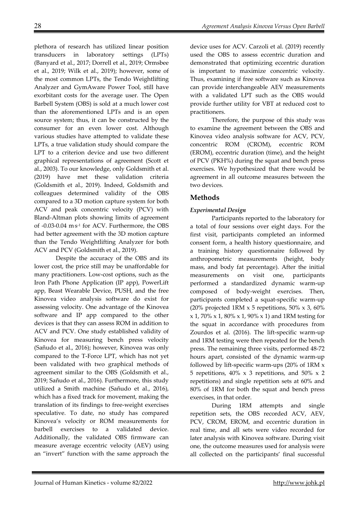plethora of research has utilized linear position transducers in laboratory settings (LPTs) (Banyard et al., 2017; Dorrell et al., 2019; Ormsbee et al., 2019; Wilk et al., 2019); however, some of the most common LPTs, the Tendo Weightlifting Analyzer and GymAware Power Tool, still have exorbitant costs for the average user. The Open Barbell System (OBS) is sold at a much lower cost than the aforementioned LPTs and is an open source system; thus, it can be constructed by the consumer for an even lower cost. Although various studies have attempted to validate these LPTs, a true validation study should compare the LPT to a criterion device and use two different graphical representations of agreement (Scott et al., 2003). To our knowledge, only Goldsmith et al. (2019) have met these validation criteria (Goldsmith et al., 2019). Indeed, Goldsmith and colleagues determined validity of the OBS compared to a 3D motion capture system for both ACV and peak concentric velocity (PCV) with Bland-Altman plots showing limits of agreement of -0.03-0.04 m. s-1 for ACV. Furthermore, the OBS had better agreement with the 3D motion capture than the Tendo Weightlifting Analyzer for both ACV and PCV (Goldsmith et al., 2019).

Despite the accuracy of the OBS and its lower cost, the price still may be unaffordable for many practitioners. Low-cost options, such as the Iron Path Phone Application (IP app), PowerLift app, Beast Wearable Device, PUSH, and the free Kinovea video analysis software do exist for assessing velocity. One advantage of the Kinovea software and IP app compared to the other devices is that they can assess ROM in addition to ACV and PCV. One study established validity of Kinovea for measuring bench press velocity (Sañudo et al., 2016); however, Kinovea was only compared to the T-Force LPT, which has not yet been validated with two graphical methods of agreement similar to the OBS (Goldsmith et al., 2019; Sañudo et al., 2016). Furthermore, this study utilized a Smith machine (Sañudo et al., 2016), which has a fixed track for movement, making the translation of its findings to free-weight exercises speculative. To date, no study has compared Kinovea's velocity or ROM measurements for barbell exercises to a validated device. Additionally, the validated OBS firmware can measure average eccentric velocity (AEV) using an "invert" function with the same approach the

device uses for ACV. Carzoli et al. (2019) recently used the OBS to assess eccentric duration and demonstrated that optimizing eccentric duration is important to maximize concentric velocity. Thus, examining if free software such as Kinovea can provide interchangeable AEV measurements with a validated LPT such as the OBS would provide further utility for VBT at reduced cost to practitioners.

Therefore, the purpose of this study was to examine the agreement between the OBS and Kinovea video analysis software for ACV, PCV, concentric ROM (CROM), eccentric ROM (EROM), eccentric duration (time), and the height of PCV (PKH%) during the squat and bench press exercises. We hypothesized that there would be agreement in all outcome measures between the two devices.

# **Methods**

## *Experimental Design*

Participants reported to the laboratory for a total of four sessions over eight days. For the first visit, participants completed an informed consent form, a health history questionnaire, and a training history questionnaire followed by anthropometric measurements (height, body mass, and body fat percentage). After the initial measurements on visit one, participants performed a standardized dynamic warm-up composed of body-weight exercises. Then, participants completed a squat-specific warm-up (20% projected 1RM  $\times$  5 repetitions, 50%  $\times$  3, 60% x 1, 70% x 1, 80% x 1, 90% x 1) and 1RM testing for the squat in accordance with procedures from Zourdos et al. (2016). The lift-specific warm-up and 1RM testing were then repeated for the bench press. The remaining three visits, performed 48-72 hours apart, consisted of the dynamic warm-up followed by lift-specific warm-ups (20% of 1RM x 5 repetitions,  $40\% \times 3$  repetitions, and  $50\% \times 2$ repetitions) and single repetition sets at 60% and 80% of 1RM for both the squat and bench press exercises, in that order.

During 1RM attempts and single repetition sets, the OBS recorded ACV, AEV, PCV, CROM, EROM, and eccentric duration in real time, and all sets were video recorded for later analysis with Kinovea software. During visit one, the outcome measures used for analysis were all collected on the participants' final successful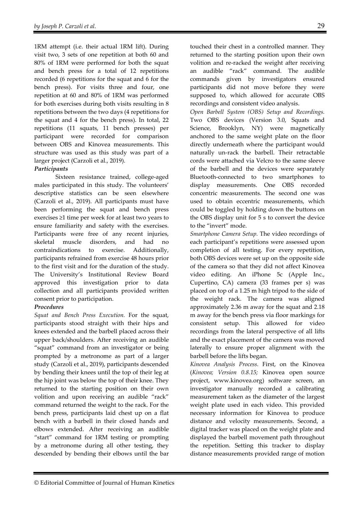1RM attempt (i.e. their actual 1RM lift). During visit two, 3 sets of one repetition at both 60 and 80% of 1RM were performed for both the squat and bench press for a total of 12 repetitions recorded (6 repetitions for the squat and 6 for the bench press). For visits three and four, one repetition at 60 and 80% of 1RM was performed for both exercises during both visits resulting in 8 repetitions between the two days (4 repetitions for the squat and 4 for the bench press). In total, 22 repetitions (11 squats, 11 bench presses) per participant were recorded for comparison between OBS and Kinovea measurements. This structure was used as this study was part of a larger project (Carzoli et al., 2019).

## *Participants*

 Sixteen resistance trained, college-aged males participated in this study. The volunteers' descriptive statistics can be seen elsewhere (Carzoli et al., 2019). All participants must have been performing the squat and bench press exercises ≥1 time per week for at least two years to ensure familiarity and safety with the exercises. Participants were free of any recent injuries, skeletal muscle disorders, and had no contraindications to exercise. Additionally, participants refrained from exercise 48 hours prior to the first visit and for the duration of the study. The University's Institutional Review Board approved this investigation prior to data collection and all participants provided written consent prior to participation.

## *Procedures*

*Squat and Bench Press Execution.* For the squat, participants stood straight with their hips and knees extended and the barbell placed across their upper back/shoulders. After receiving an audible "squat" command from an investigator or being prompted by a metronome as part of a larger study (Carzoli et al., 2019), participants descended by bending their knees until the top of their leg at the hip joint was below the top of their knee. They returned to the starting position on their own volition and upon receiving an audible "rack" command returned the weight to the rack. For the bench press, participants laid chest up on a flat bench with a barbell in their closed hands and elbows extended. After receiving an audible "start" command for 1RM testing or prompting by a metronome during all other testing, they descended by bending their elbows until the bar touched their chest in a controlled manner. They returned to the starting position upon their own volition and re-racked the weight after receiving an audible "rack" command. The audible commands given by investigators ensured participants did not move before they were supposed to, which allowed for accurate OBS recordings and consistent video analysis.

*Open Barbell System (OBS) Setup and Recordings.* Two OBS devices (Version 3.0, Squats and Science, Brooklyn, NY) were magnetically anchored to the same weight plate on the floor directly underneath where the participant would naturally un-rack the barbell. Their retractable cords were attached via Velcro to the same sleeve of the barbell and the devices were separately Bluetooth-connected to two smartphones to display measurements. One OBS recorded concentric measurements. The second one was used to obtain eccentric measurements, which could be toggled by holding down the buttons on the OBS display unit for 5 s to convert the device to the "invert" mode.

*Smartphone Camera Setup.* The video recordings of each participant's repetitions were assessed upon completion of all testing. For every repetition, both OBS devices were set up on the opposite side of the camera so that they did not affect Kinovea video editing. An iPhone 5c (Apple Inc., Cupertino, CA) camera (33 frames per s) was placed on top of a 1.25 m high tripod to the side of the weight rack. The camera was aligned approximately 2.36 m away for the squat and 2.18 m away for the bench press via floor markings for consistent setup. This allowed for video recordings from the lateral perspective of all lifts and the exact placement of the camera was moved laterally to ensure proper alignment with the barbell before the lifts began.

*Kinovea Analysis Process.* First, on the Kinovea (*Kinovea; Version 0.8.15;* Kinovea open source project, www.kinovea.org) software screen, an investigator manually recorded a calibrating measurement taken as the diameter of the largest weight plate used in each video. This provided necessary information for Kinovea to produce distance and velocity measurements. Second, a digital tracker was placed on the weight plate and displayed the barbell movement path throughout the repetition. Setting this tracker to display distance measurements provided range of motion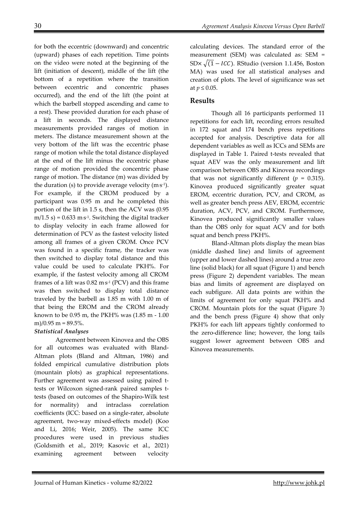for both the eccentric (downward) and concentric (upward) phases of each repetition. Time points on the video were noted at the beginning of the lift (initiation of descent), middle of the lift (the bottom of a repetition where the transition between eccentric and concentric phases occurred), and the end of the lift (the point at which the barbell stopped ascending and came to a rest). These provided duration for each phase of a lift in seconds. The displayed distance measurements provided ranges of motion in meters. The distance measurement shown at the very bottom of the lift was the eccentric phase range of motion while the total distance displayed at the end of the lift minus the eccentric phase range of motion provided the concentric phase range of motion. The distance (m) was divided by the duration (s) to provide average velocity  $(m \, s^{-1})$ . For example, if the CROM produced by a participant was 0.95 m and he completed this portion of the lift in 1.5 s, then the ACV was (0.95  $m/1.5$  s) =  $0.633$  m·s<sup>-1</sup>. Switching the digital tracker to display velocity in each frame allowed for determination of PCV as the fastest velocity listed among all frames of a given CROM. Once PCV was found in a specific frame, the tracker was then switched to display total distance and this value could be used to calculate PKH%. For example, if the fastest velocity among all CROM frames of a lift was  $0.82 \text{ m} \cdot \text{s}$ <sup>1</sup> (PCV) and this frame was then switched to display total distance traveled by the barbell as 1.85 m with 1.00 m of that being the EROM and the CROM already known to be 0.95 m, the PKH% was (1.85 m - 1.00 m $(0.95 \text{ m} = 89.5\%$ .

## *Statistical Analyses*

Agreement between Kinovea and the OBS for all outcomes was evaluated with Bland-Altman plots (Bland and Altman, 1986) and folded empirical cumulative distribution plots (mountain plots) as graphical representations. Further agreement was assessed using paired ttests or Wilcoxon signed-rank paired samples ttests (based on outcomes of the Shapiro-Wilk test for normality) and intraclass correlation coefficients (ICC: based on a single-rater, absolute agreement, two-way mixed-effects model) (Koo and Li, 2016; Weir, 2005). The same ICC procedures were used in previous studies (Goldsmith et al., 2019; Kasovic et al., 2021) examining agreement between velocity calculating devices. The standard error of the measurement (SEM) was calculated as: SEM =  $SDx \sqrt{1 - ICC}$ ). RStudio (version 1.1.456, Boston MA) was used for all statistical analyses and creation of plots. The level of significance was set at *p* ≤ 0.05.

# **Results**

 Though all 16 participants performed 11 repetitions for each lift, recording errors resulted in 172 squat and 174 bench press repetitions accepted for analysis. Descriptive data for all dependent variables as well as ICCs and SEMs are displayed in Table 1. Paired t-tests revealed that squat AEV was the only measurement and lift comparison between OBS and Kinovea recordings that was not significantly different  $(p = 0.315)$ . Kinovea produced significantly greater squat EROM, eccentric duration, PCV, and CROM, as well as greater bench press AEV, EROM, eccentric duration, ACV, PCV, and CROM. Furthermore, Kinovea produced significantly smaller values than the OBS only for squat ACV and for both squat and bench press PKH%.

Bland-Altman plots display the mean bias (middle dashed line) and limits of agreement (upper and lower dashed lines) around a true zero line (solid black) for all squat (Figure 1) and bench press (Figure 2) dependent variables. The mean bias and limits of agreement are displayed on each subfigure. All data points are within the limits of agreement for only squat PKH% and CROM. Mountain plots for the squat (Figure 3) and the bench press (Figure 4) show that only PKH% for each lift appears tightly conformed to the zero-difference line; however, the long tails suggest lower agreement between OBS and Kinovea measurements.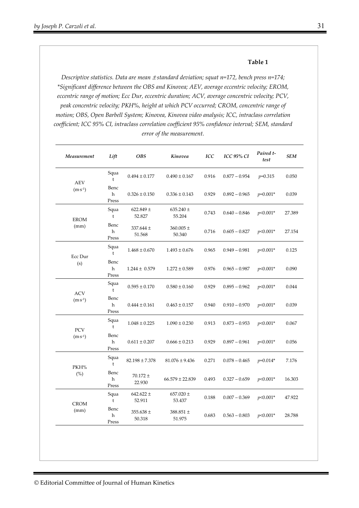#### **Table 1**

*Descriptive statistics. Data are mean*  $\pm$  *standard deviation; squat n=172, bench press n=174; \*Significant difference between the OBS and Kinovea; AEV, average eccentric velocity; EROM, eccentric range of motion; Ecc Dur, eccentric duration; ACV, average concentric velocity; PCV, peak concentric velocity; PKH%, height at which PCV occurred; CROM, concentric range of motion; OBS, Open Barbell System; Kinovea, Kinovea video analysis; ICC, intraclass correlation coefficient; ICC 95% CI, intraclass correlation coefficient 95% confidence interval; SEM, standard error of the measurement.* 

| Measurement                      | Lift                 | <b>OBS</b>              | Kinovea                   | <b>ICC</b> | <b>ICC 95% CI</b> | Paired t-<br>test | <b>SEM</b> |
|----------------------------------|----------------------|-------------------------|---------------------------|------------|-------------------|-------------------|------------|
| <b>AEV</b><br>$(m \cdot s^{-1})$ | Squa<br>t            | $0.494 \pm 0.177$       | $0.490 \pm 0.167$         | 0.916      | $0.877 - 0.954$   | $p=0.315$         | 0.050      |
|                                  | Benc<br>h<br>Press   | $0.326 \pm 0.150$       | $0.336 \pm 0.143$         | 0.929      | $0.892 - 0.965$   | $p=0.001*$        | 0.039      |
| <b>EROM</b><br>(mm)              | Squa<br>t            | 622.849 $\pm$<br>52.827 | $635.240 \pm$<br>55.204   | 0.743      | $0.640 - 0.846$   | $p<0.001*$        | 27.389     |
|                                  | Benc<br>h<br>Press   | 337.644 ±<br>51.568     | $360.005$ $\pm$<br>50.340 | 0.716      | $0.605 - 0.827$   | $p<0.001*$        | 27.154     |
| Ecc Dur<br>(s)                   | Squa<br>$\mathbf{t}$ | $1.468 \pm 0.670$       | $1.493 \pm 0.676$         | 0.965      | $0.949 - 0.981$   | $p<0.001*$        | 0.125      |
|                                  | Benc<br>h<br>Press   | $1.244 \pm 0.579$       | $1.272 \pm 0.589$         | 0.976      | $0.965 - 0.987$   | $p<0.001*$        | 0.090      |
| <b>ACV</b><br>$(m·s-1)$          | Squa<br>$\mathbf t$  | $0.595 \pm 0.170$       | $0.580 \pm 0.160$         | 0.929      | $0.895 - 0.962$   | $p<0.001*$        | 0.044      |
|                                  | Benc<br>h<br>Press   | $0.444 \pm 0.161$       | $0.463 \pm 0.157$         | 0.940      | $0.910 - 0.970$   | $p<0.001*$        | 0.039      |
| PCV<br>$(m·s-1)$                 | Squa<br>$\mathbf t$  | $1.048 \pm 0.225$       | $1.090 \pm 0.230$         | 0.913      | $0.873 - 0.953$   | $p<0.001*$        | 0.067      |
|                                  | Benc<br>h<br>Press   | $0.611 \pm 0.207$       | $0.666 \pm 0.213$         | 0.929      | $0.897 - 0.961$   | $p<0.001*$        | 0.056      |
| PKH%<br>(%)                      | Squa<br>t            | $82.198 \pm 7.378$      | $81.076 \pm 9.436$        | 0.271      | $0.078 - 0.465$   | $p=0.014*$        | 7.176      |
|                                  | Benc<br>h<br>Press   | $70.172 \pm$<br>22.930  | $66.579 \pm 22.839$       | 0.493      | $0.327 - 0.659$   | $p<0.001*$        | 16.303     |
| <b>CROM</b><br>(mm)              | Squa<br>t            | 642.622 $\pm$<br>52.911 | 657.020 $\pm$<br>53.437   | 0.188      | $0.007 - 0.369$   | $p<0.001*$        | 47.922     |
|                                  | Benc<br>h<br>Press   | 355.638 $\pm$<br>50.318 | 388.851 $\pm$<br>51.975   | 0.683      | $0.563 - 0.803$   | $p<0.001*$        | 28.788     |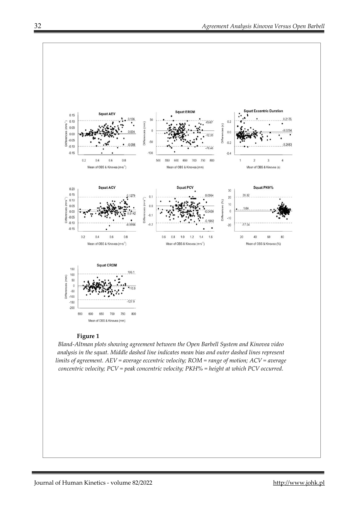

## **Figure 1**

*Bland-Altman plots showing agreement between the Open Barbell System and Kinovea video analysis in the squat. Middle dashed line indicates mean bias and outer dashed lines represent limits of agreement. AEV = average eccentric velocity; ROM = range of motion; ACV = average concentric velocity; PCV = peak concentric velocity; PKH% = height at which PCV occurred.*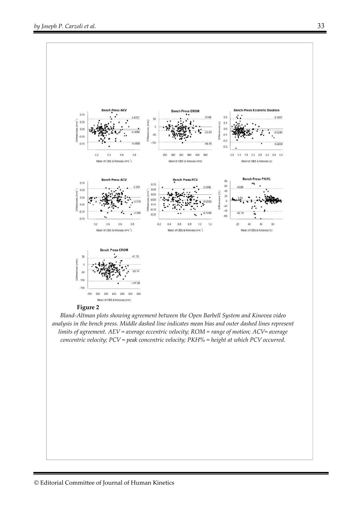

*Bland-Altman plots showing agreement between the Open Barbell System and Kinovea video analysis in the bench press. Middle dashed line indicates mean bias and outer dashed lines represent limits of agreement. AEV = average eccentric velocity; ROM = range of motion; ACV= average concentric velocity; PCV = peak concentric velocity; PKH% = height at which PCV occurred.*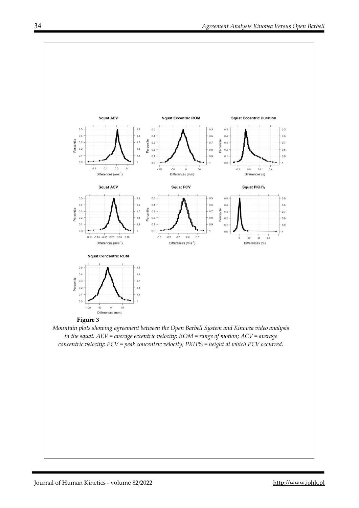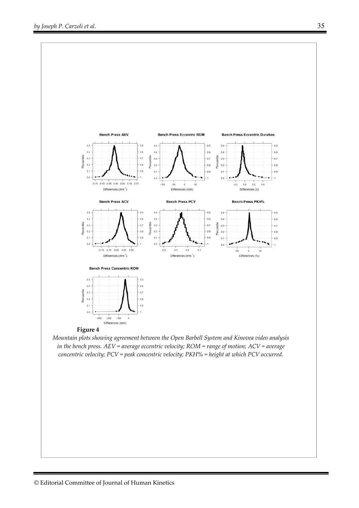

*Mountain plots showing agreement between the Open Barbell System and Kinovea video analysis in the bench press. AEV = average eccentric velocity; ROM = range of motion; ACV = average concentric velocity; PCV = peak concentric velocity; PKH% = height at which PCV occurred.*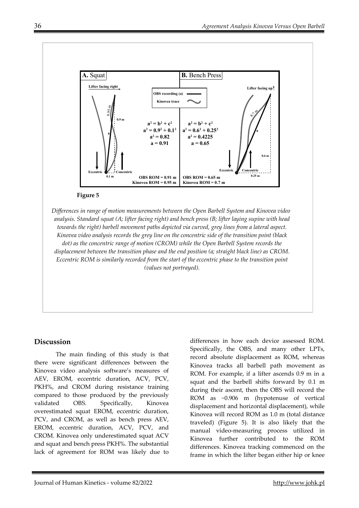

*Differences in range of motion measurements between the Open Barbell System and Kinovea video analysis. Standard squat (A; lifter facing right) and bench press (B; lifter laying supine with head towards the right) barbell movement paths depicted via curved, grey lines from a lateral aspect. Kinovea video analysis records the grey line on the concentric side of the transition point (black dot) as the concentric range of motion (CROM) while the Open Barbell System records the displacement between the transition phase and the end position (a; straight black line) as CROM. Eccentric ROM is similarly recorded from the start of the eccentric phase to the transition point (values not portrayed).* 

## **Discussion**

The main finding of this study is that there were significant differences between the Kinovea video analysis software's measures of AEV, EROM, eccentric duration, ACV, PCV, PKH%, and CROM during resistance training compared to those produced by the previously validated OBS. Specifically, Kinovea overestimated squat EROM, eccentric duration, PCV, and CROM, as well as bench press AEV, EROM, eccentric duration, ACV, PCV, and CROM. Kinovea only underestimated squat ACV and squat and bench press PKH%. The substantial lack of agreement for ROM was likely due to

differences in how each device assessed ROM. Specifically, the OBS, and many other LPTs, record absolute displacement as ROM, whereas Kinovea tracks all barbell path movement as ROM. For example, if a lifter ascends 0.9 m in a squat and the barbell shifts forward by 0.1 m during their ascent, then the OBS will record the ROM as ~0.906 m (hypotenuse of vertical displacement and horizontal displacement), while Kinovea will record ROM as 1.0 m (total distance traveled) (Figure 5). It is also likely that the manual video-measuring process utilized in Kinovea further contributed to the ROM differences. Kinovea tracking commenced on the frame in which the lifter began either hip or knee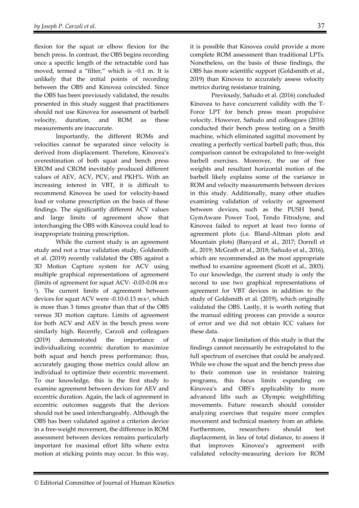flexion for the squat or elbow flexion for the bench press. In contrast, the OBS begins recording once a specific length of the retractable cord has moved, termed a "filter," which is ~0.1 m. It is unlikely that the initial points of recording between the OBS and Kinovea coincided. Since the OBS has been previously validated, the results presented in this study suggest that practitioners should not use Kinovea for assessment of barbell velocity, duration, and ROM as these measurements are inaccurate.

Importantly, the different ROMs and velocities cannot be separated since velocity is derived from displacement. Therefore, Kinovea's overestimation of both squat and bench press EROM and CROM inevitably produced different values of AEV, ACV, PCV, and PKH%. With an increasing interest in VBT, it is difficult to recommend Kinovea be used for velocity-based load or volume prescription on the basis of these findings. The significantly different ACV values and large limits of agreement show that interchanging the OBS with Kinovea could lead to inappropriate training prescription.

While the current study is an agreement study and not a true validation study, Goldsmith et al. (2019) recently validated the OBS against a 3D Motion Capture system for ACV using multiple graphical representations of agreement (limits of agreement for squat ACV: -0.03-0.04 m. s-1). The current limits of agreement between devices for squat ACV were -0.10-0.13 m. s-1, which is more than 3 times greater than that of the OBS versus 3D motion capture. Limits of agreement for both ACV and AEV in the bench press were similarly high. Recently, Carzoli and colleagues (2019) demonstrated the importance of individualizing eccentric duration to maximize both squat and bench press performance; thus, accurately gauging those metrics could allow an individual to optimize their eccentric movement. To our knowledge, this is the first study to examine agreement between devices for AEV and eccentric duration. Again, the lack of agreement in eccentric outcomes suggests that the devices should not be used interchangeably. Although the OBS has been validated against a criterion device in a free-weight movement, the difference in ROM assessment between devices remains particularly important for maximal effort lifts where extra motion at sticking points may occur. In this way,

it is possible that Kinovea could provide a more complete ROM assessment than traditional LPTs. Nonetheless, on the basis of these findings, the OBS has more scientific support (Goldsmith et al., 2019) than Kinovea to accurately assess velocity metrics during resistance training.

 Previously, Sañudo et al. (2016) concluded Kinovea to have concurrent validity with the T-Force LPT for bench press mean propulsive velocity. However, Sañudo and colleagues (2016) conducted their bench press testing on a Smith machine, which eliminated sagittal movement by creating a perfectly vertical barbell path; thus, this comparison cannot be extrapolated to free-weight barbell exercises. Moreover, the use of free weights and resultant horizontal motion of the barbell likely explains some of the variance in ROM and velocity measurements between devices in this study. Additionally, many other studies examining validation of velocity or agreement between devices, such as the PUSH band, GymAware Power Tool, Tendo Fitrodyne, and Kinovea failed to report at least two forms of agreement plots (i.e. Bland-Altman plots and Mountain plots) (Banyard et al., 2017; Dorrell et al., 2019; McGrath et al., 2018; Sañudo et al., 2016), which are recommended as the most appropriate method to examine agreement (Scott et al., 2003). To our knowledge, the current study is only the second to use two graphical representations of agreement for VBT devices in addition to the study of Goldsmith et al. (2019), which originally validated the OBS. Lastly, it is worth noting that the manual editing process can provide a source of error and we did not obtain ICC values for these data.

 A major limitation of this study is that the findings cannot necessarily be extrapolated to the full spectrum of exercises that could be analyzed. While we chose the squat and the bench press due to their common use in resistance training programs, this focus limits expanding on Kinovea's and OBS's applicability to more advanced lifts such as Olympic weightlifting movements. Future research should consider analyzing exercises that require more complex movement and technical mastery from an athlete. Furthermore, researchers should test displacement, in lieu of total distance, to assess if that improves Kinovea's agreement with validated velocity-measuring devices for ROM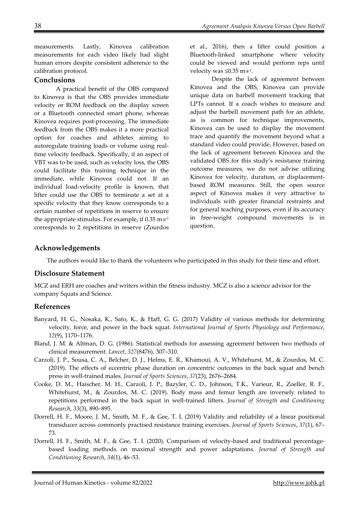measurements. Lastly, Kinovea calibration measurements for each video likely had slight human errors despite consistent adherence to the calibration protocol.

## **Conclusions**

A practical benefit of the OBS compared to Kinovea is that the OBS provides immediate velocity or ROM feedback on the display screen or a Bluetooth connected smart phone, whereas Kinovea requires post-processing. The immediate feedback from the OBS makes it a more practical option for coaches and athletes aiming to autoregulate training loads or volume using realtime velocity feedback. Specifically, if an aspect of VBT was to be used, such as velocity loss, the OBS could facilitate this training technique in the immediate, while Kinovea could not. If an individual load-velocity profile is known, that lifter could use the OBS to terminate a set at a specific velocity that they know corresponds to a certain number of repetitions in reserve to ensure the appropriate stimulus. For example, if  $0.35 \mathrm{~m\,s\,1}}$ corresponds to 2 repetitions in reserve (Zourdos

et al., 2016), then a lifter could position a Bluetooth-linked smartphone where velocity could be viewed and would perform reps until velocity was ≤0.35 m·s<sup>-1</sup>.

Despite the lack of agreement between Kinovea and the OBS, Kinovea can provide unique data on barbell movement tracking that LPTs cannot. If a coach wishes to measure and adjust the barbell movement path for an athlete, as is common for technique improvements, Kinovea can be used to display the movement trace and quantify the movement beyond what a standard video could provide. However, based on the lack of agreement between Kinovea and the validated OBS for this study's resistance training outcome measures, we do not advise utilizing Kinovea for velocity, duration, or displacementbased ROM measures. Still, the open source aspect of Kinovea makes it very attractive to individuals with greater financial restraints and for general teaching purposes, even if its accuracy in free-weight compound movements is in question.

## **Acknowledgements**

The authors would like to thank the volunteers who participated in this study for their time and effort.

## **Disclosure Statement**

MCZ and ERH are coaches and writers within the fitness industry. MCZ is also a science advisor for the company Squats and Science.

## **References**

- Banyard, H. G., Nosaka, K., Sato, K., & Haff, G. G. (2017) Validity of various methods for determining velocity, force, and power in the back squat. *International Journal of Sports Physiology and Performance*, *12*(9), 1170–1176.
- Bland, J. M. & Altman, D. G. (1986). Statistical methods for assessing agreement between two methods of clinical measurement. *Lancet*, *327*(8476), 307–310.
- Carzoli, J. P., Sousa, C. A., Belcher, D. J., Helms, E. R., Khamoui, A. V., Whitehurst, M., & Zourdos, M. C. (2019). The effects of eccentric phase duration on concentric outcomes in the back squat and bench press in well-trained males. *Journal of Sports Sciences*, *37*(23), 2676–2684.
- Cooke, D. M., Haischer, M. H., Carzoli, J. P., Bazyler, C. D., Johnson, T.K., Varieur, R., Zoeller, R. F., Whitehurst, M., & Zourdos, M. C. (2019). Body mass and femur length are inversely related to repetitions performed in the back squat in well-trained lifters. *Journal of Strength and Conditioning Research*, *33*(3), 890–895.
- Dorrell, H. F., Moore, J. M., Smith, M. F., & Gee, T. I. (2019) Validity and reliability of a linear positional transducer across commonly practised resistance training exercises. *Journal of Sports Sciences*, *37*(1), 67– 73.
- Dorrell, H. F., Smith, M. F., & Gee, T. I. (2020). Comparison of velocity-based and traditional percentagebased loading methods on maximal strength and power adaptations. *Journal of Strength and Conditioning Research*, *34*(1), 46–53.